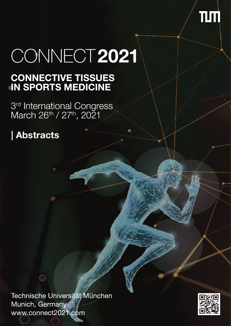

# CONNECT2021

# **CONNECTIVE TISSUES<br>IN SPORTS MEDICINE**

3rd International Congress<br>March 26<sup>th</sup> / 27<sup>th</sup>, 2021

# **| Abstracts**

Technische Universität München Munich, Germany www.connect2021.com

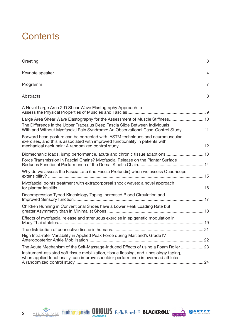# **Contents**

| Greeting                                                                                                                                                                                                                                          | 3              |
|---------------------------------------------------------------------------------------------------------------------------------------------------------------------------------------------------------------------------------------------------|----------------|
| Keynote speaker                                                                                                                                                                                                                                   | $\overline{4}$ |
| Programm                                                                                                                                                                                                                                          | 7              |
| Abstracts                                                                                                                                                                                                                                         | 8              |
| A Novel Large Area 2-D Shear Wave Elastography Approach to                                                                                                                                                                                        |                |
| Large Area Shear Wave Elastography for the Assessment of Muscle Stiffness 10<br>The Difference in the Upper Trapezius Deep Fascia Slide Between Individuals<br>With and Without Myofascial Pain Syndrome: An Observational Case-Control Study  11 |                |
| Forward head posture can be corrected with IASTM techniques and neuromuscular<br>exercises, and this is associated with improved functionality in patients with                                                                                   |                |
| Biomechanic loads, jump performance, acute and chronic tissue adaptions 13<br>Force Transmission in Fascial Chains? Myofascial Release on the Plantar Surface                                                                                     |                |
| Why do we assess the Fascia Lata (the Fascia Profundis) when we assess Quadriceps                                                                                                                                                                 |                |
| Myofascial points treatment with extracorporeal shock waves: a novel approach                                                                                                                                                                     |                |
| Decompression Typed Kinesiology Taping Increased Blood Circulation and                                                                                                                                                                            |                |
| Children Running in Conventional Shoes have a Lower Peak Loading Rate but                                                                                                                                                                         |                |
| Effects of myofascial release and strenuous exercise in epigenetic modulation in                                                                                                                                                                  |                |
|                                                                                                                                                                                                                                                   |                |
| High Intra-rater Variability in Applied Peak Force during Maitland's Grade IV                                                                                                                                                                     |                |
| The Acute Mechanism of the Self-Massage-Induced Effects of using a Foam Roller  23                                                                                                                                                                |                |
| Instrument-assisted soft tissue mobilization, tissue flossing, and kinesiology taping,<br>when applied functionally, can improve shoulder performance in overhead athletes:                                                                       |                |







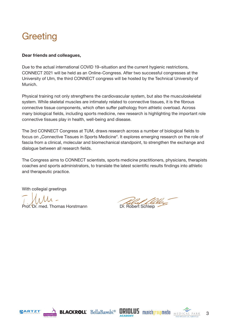# **Greeting**

#### **Dear friends and colleagues,**

Due to the actual international COVID 19–situation and the current hygienic restrictions, CONNECT 2021 will be held as an Online-Congress. After two successful congresses at the University of Ulm, the third CONNECT congress will be hosted by the Technical University of Munich.

Physical training not only strengthens the cardiovascular system, but also the musculoskeletal system. While skeletal muscles are intimately related to connective tissues, it is the fibrous connective tissue components, which often suffer pathology from athletic overload. Across many biological fields, including sports medicine, new research is highlighting the important role connective tissues play in health, well-being and disease.

The 3rd CONNECT Congress at TUM, draws research across a number of biological fields to focus on "Connective Tissues in Sports Medicine". It explores emerging research on the role of fascia from a clinical, molecular and biomechanical standpoint, to strengthen the exchange and dialogue between all research fields.

The Congress aims to CONNECT scientists, sports medicine practitioners, physicians, therapists coaches and sports administrators, to translate the latest scientific results findings into athletic and therapeutic practice.

With collegial greetings

**Dr. med. Thomas Horstmann** Dr. Robert Schleip









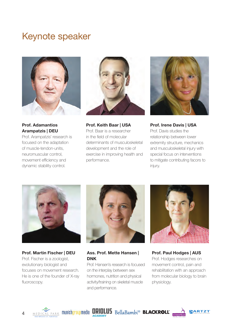# <span id="page-3-0"></span>Keynote speaker



**Prof. Adamantios Arampatzis | DEU**

Prof. Arampatzis' research is focused on the adaptation of muscle-tendon-units, neuromuscular control, movement efficiency and dynamic stability control.



**Prof. Keith Baar | USA** Prof. Baar is a researcher in the field of molecular determinants of musculoskeletal development and the role of exercise in improving health and performance.



**Prof. Irene Davis | USA** Prof. Davis studies the relationship between lower extremity structure, mechanics and musculoskeletal injury with special focus on interventions to mitigate contributing facors to injury.



**Prof. Martin Fischer | DEU** Prof. Fischer is a zoologist, evolutionary biologist and focuses on movement research. He is one of the founder of X-ray fluoroscopy.



#### **Ass. Prof. Mette Hansen | DNK**

Prof. Hansen's research is focused on the interplay between sex hormones, nutrition and physical activity/training on skeletal muscle and performance.



**Prof. Paul Hodges | AUS**  Prof. Hodges researches on movement control, pain and rehabilitation with an approach from molecular biology to brain physiology.









4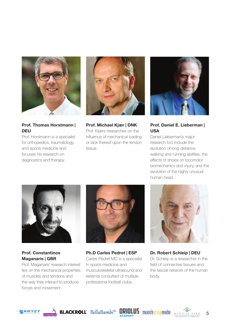

#### **Prof. Thomas Horstmann | DEU**

Prof. Horstmann is a specialist for orthopedics, traumatology and sports medicine and focuses his research on diagnostics and therapy.



**Prof. Michael Kjær | DNK** Prof. Kjærs researches on the influence of mechanical loading or lack thereof upon the tendon tissue.



#### **Prof. Daniel E. Lieberman | USA**

Daniel Lieberman's major research foci include the evolution of long distance walking and running abilities, the effects of shoes on locomotor biomechanics and injury, and the evolution of the highly unusual human head.



**Prof. Constantinos Maganaris | GBR**

Prof. Maganaris' research interest lies on the mechanical properties of muscles and tendons and the way they interact to produce forces and movement



**Ph.D Carles Pedret | ESP** Carles Pedret MD is a specialist in sports medicine and musculoskeletal ultrasound and external consultant of multiple professional football clubs.



**Dr. Robert Schleip | DEU** Dr. Schleip is a researcher in the field of connective tissues and the fascial network of the human body.











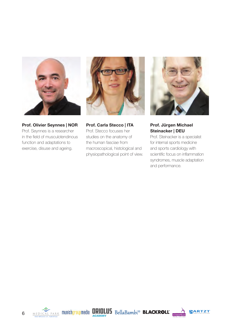

**Prof. Olivier Seynnes | NOR** Prof. Seynnes is a researcher in the field of musculotendinous function and adaptations to exercise, disuse and ageing.



**Prof. Carla Stecco | ITA** Prof. Stecco focuses her studies on the anatomy of the human fasciae from macroscopical, histological and physiopathological point of view.



**Prof. Jürgen Michael Steinacker | DEU**

Prof. Steinacker is a specialist for internal sports medicine and sports cardiology with scientific focus on inflammation syndromes, muscle adaptation and performance.





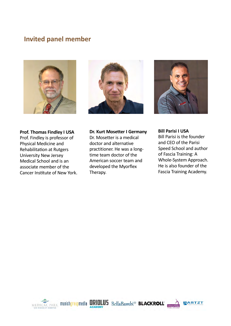## **Invited panel member**







**Prof. Thomas Findley I USA** Prof. Findley is professor of Physical Medicine and Rehabilitation at Rutgers University New Jersey Medical School and is an associate member of the Cancer Institute of New York.

#### **Dr. Kurt Mosetter I Germany**

Dr. Mosetter is a medical doctor and alternative practitioner. He was a longtime team doctor of the American soccer team and developed the Myorflex Therapy.

**Bill Parisi I USA** Bill Parisi is the founder and CEO of the Parisi Speed School and author of Fascia Training: A Whole-System Approach. He is also founder of the Fascia Training Academy.

ARTZT

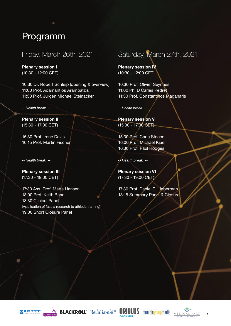# <span id="page-7-0"></span>Programm

### Friday, March 26th, 2021

**Plenary session I** (10:30 - 12:00 CET)

10.30 Dr. Robert Schleip (opening & overview) 11:00 Prof. Adamantios Arampatzis 11:30 Prof. Jürgen Michael Steinacker

*-- Health break --*

**Plenary session II**  (15:30 - 17:00 CET)

15:30 Prof. Irene Davis 16:15 Prof. Martin Fischer

*-- Health break -*-

**Plenary session III**  (17:30 - 19:00 CET)

17:30 Ass. Prof. Mette Hansen 18:00 Prof. Keith Baar 18:30 Clinical Panel (Application of fascia research to athletic training) 19:00 Short Closure Panel

# Saturday, March 27th, 2021

**Plenary session IV** (10:30 - 12:00 CET)

10:30 Prof. Olivier Seynnes 11:00 Ph. D Carles Pedret 11:30 Prof. Constantinos Maganaris

*-- Health break --*

**Plenary session V** (15:30 - 17:00 CET)

15:30 Prof. Carla Stecco 16:00 Prof. Michael Kjaer 16:30 Prof. Paul Hodges

*-- Health break --*

**Plenary session VI** (17:30 - 19:00 CET)

17:30 Prof. Daniel E. Lieberman 18:15 Summary Panel & Closure









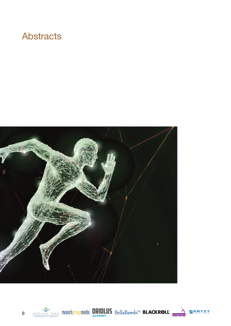# <span id="page-8-0"></span>**Abstracts**











8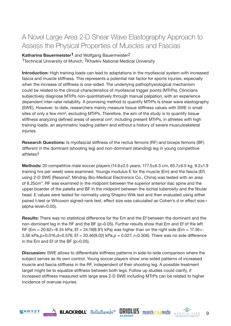# <span id="page-9-0"></span>A Novel Large Area 2-D Shear Wave Elastography Approach to Assess the Physical Properties of Muscles and Fascias

#### **Katharina Bauermeister<sup>1</sup> and Wolfgang Bauermeister<sup>2</sup>**

<sup>1</sup>Technical University of Munich, <sup>2</sup>Kharkiv National Medical University

**Introduction:** High training loads can lead to adaptations in the myofascial system with increased fascia and muscle stiffness. This represents a potential risk factor for sports injuries, especially when the increase of stiffness is one-sided. The underlying pathophysiological mechanism could be related to the clinical characteristics of myofascial trigger points (MTrPs). Clinicians subjectively diagnose MTrPs non-quantitatively through manual palpation, with an experience dependent inter-rater reliability. A promising method to quantify MTrPs is shear wave elastography (SWE). However, to date, researchers mainly measure tissue stiffness values with SWE in small sites of only a few mm<sup>2</sup>, excluding MTrPs. Therefore, the aim of the study is to quantify tissue stiffness analyzing defined areas of several cm², including present MTrPs, in athletes with high training loads, an asymmetric loading pattern and without a history of severe musculoskeletal injuries.

**Research Questions:** Is myofascial stiffness of the rectus femoris (RF) and biceps femoris (BF) different in the dominant (shooting leg) and non-dominant (standing) leg in young competitive athletes?

**Methods:** 20 competitive male soccer players (14.6±0.5 years, 177.5±6.3 cm, 65.7±6.5 kg, 9.2±1.9 training hrs per week) were examined. Youngs modulus E for the muscle (Em) and the fascia (Ef) using 2-D SWE (Resona7, Mindray Bio-Medical Electronics Co., China) was tested with an area of 8.25cm". RF was examined in the midpoint between the superior anterior iliac spine and the upper boarder of the patella and BF in the midpoint between the ischial tuberosity and the fibular head. E values were tested for normality using Shapiro-Wilk test and then evaluated using either paired t-test or Wilcoxon signed-rank test, effect size was calculated as Cohen's d or effect size r (alpha-level=0.05).

**Results:** There was no statistical difference for the Em and the Ef between the dominant and the non-dominant leg in the RF and the BF (p>0.05). Further results show that Em and Ef of the left RF (Em = 20.62+-8.34 kPa; Ef = 24.19(8.91) kPa) was higher than on the right side (Em = 17.36+-3.56 kPa,p=0.016,d=0.576; Ef = 20.46(9.02) kPa,p = 0.027, r=0.306). There was no side difference in the Em and Ef of the BF (p>0.05).

**Discussion:** SWE allows to differentiate stiffness patterns in side-to-side comparison where the subject serves as its own control. Young soccer players show one-sided patterns of increased muscle and fascia stiffness in the RF, independent of their shooting leg. A possible treatment target might be to equalize stiffness between both legs. Follow up studies could clarify, if increased stiffness measured with large area 2-D SWE including MTrPs can be related to higher incidence of overuse injuries.









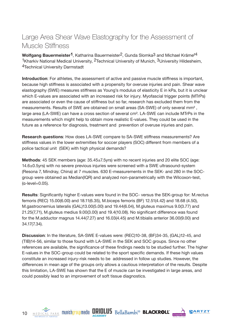# <span id="page-10-0"></span>Large Area Shear Wave Elastography for the Assessment of Muscle Stiffness

**Wolfgang Bauermeister1**, Katharina Bauermeister2, Gunda Slomka3 and Michael Krämer4 1Kharkiv National Medical University, 2Technical University of Munich, 3University Hildesheim, 4Technical University Darmstadt

**Introduction**: For athletes, the assessment of active and passive muscle stiffness is important, because high stiffness is associated with a propensity for overuse injuries and pain. Shear wave elastography (SWE) measures stiffness as Young's modulus of elasticity E in kPa, but it is unclear which E-values are associated with an increased risk for injury. Myofascial trigger points (MTrPs) are associated or even the cause of stiffness but so far, research has excluded them from the measurements. Results of SWE are obtained on small areas (SA-SWE) of only several mm² , large area (LA-SWE) can have a cross section of several cm². LA-SWE can include MTrPs in the measurements which might help to obtain more realistic E-values. They could be used in the future as a reference for diagnosis, treatment and prevention of overuse injuries and pain.

**Research questions**: How does LA-SWE compare to SA-SWE stiffness measurements? Are stiffness values in the lower extremities for soccer players (SOC) different from members of a police tactical unit (SEK) with high physical demands?

**Methods**: 45 SEK members (age: 35.45±7.5yrs) with no recent injuries and 20 elite SOC (age: 14.6±0.5yrs) with no severe previous injuries were screened with a SWE ultrasound-system (Resona 7, Mindray, China) at 7 muscles. 630 E-measurements in the SEK- and 280 in the SOCgroup were obtained as Median(IQR) and analyzed non-parametrically with the Wilcoxon-test, (α-level=0.05).

**Results**: Significantly higher E-values were found in the SOC- versus the SEK-group for: M.rectus femoris (REC) 15.00(6.00) and 18.11(6.35), M.biceps femoris (BF) 12.51(4.42) and 18.68 (4.50), M.gastrocnemius lateralis (GAL)13.00(5.00) and 19.44(6.04), M.gluteus maximus 9.0(3.77) and 21.25(7,71), M.gluteus medius 9.00(3.00) and 19.4(10.08). No significant difference was found for the M.adductor magnus 14.44(7.27) and 16.03(4.45) and M.tibialis anterior 36.00(9.00) and 34.17(7.34).

**Discussion**: In the literature, SA-SWE E-values were: (REC)10-38, (BF)34-35, (GAL)12-45, and (TIB)14-56, similar to those found with LA-SWE in the SEK and SOC groups. Since no other references are available, the significance of these findings needs to be studied further. The higher E-values in the SOC-group could be related to the sport specific demands. If these high values constitute an increased injury-risk needs to be addressed in follow up studies. However, the differences in mean age of the groups only allows a cautious interpretation of the results. Despite this limitation, LA-SWE has shown that the E of muscle can be investigated in large areas, and could possibly lead to an improvement of soft tissue diagnostics.







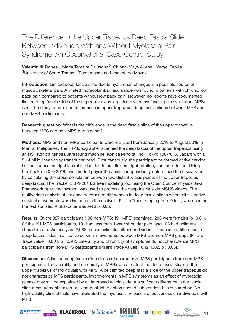<span id="page-11-0"></span>The Difference in the Upper Trapezius Deep Fascia Slide Between Individuals With and Without Myofascial Pain Syndrome: An Observational Case-Control Study

**Valentin III Dones<sup>1</sup>**, Maria Teresita Dalusong<sup>2</sup>, Chiong-Maya Arlene<sup>1</sup>, Vergel Orpilla<sup>1</sup> 1University of Santo Tomas, 2Pamantasan ng Lungsod ng Maynia

**Introduction**: Limited deep fascia slide due to hyaluronan changes is a possible source of musculoskeletal pain. A limited thoracolumbar fascia slide was found in patients with chronic low back pain compared to patients without low back pain. However, no reports have documented limited deep fascia slide of the upper trapezius in patients with myofascial pain syndrome (MPS). Aim. The study determined differences in upper trapezius' deep fascia slides between MPS and non-MPS participants.

**Research question**: What is the difference in the deep fascia slide of the upper trapezius between MPS and non-MPS participants?

**Methods**: MPS and non-MPS participants were recruited from January 2019 to August 2019 in Manila, Philippines. The PT-Sonographer scanned the deep fascia of the upper trapezius using an HS1 Konica Minolta ultrasound machine (Konica Minolta, Inc., Tokyo 100-7015, Japan) with a 5-14 MHz linear-array transducer head. Simultaneously, the participant performed active cervical flexion, extension, right lateral flexion, left lateral flexion, right rotation, and left rotation. Using the Tracker 5.0 © 2018, two blinded physiotherapists independently determined the fascia slide by calculating the cross-correlation between two distant x-axis points of the upper trapezius' deep fascia. The Tracker 5.0 © 2018, a free modeling tool using the Open Source Physics Java Framework operating system, was used to process the deep fascia slide MSUS videos. The multivariate analysis of variance determined differences in deep fascia slides where all six active cervical movements were included in the analysis. Pillai's Trace, ranging from 0 to 1, was used as the test statistic. Alpha-value was set at <0.05.

**Results**: Of the 327 participants (136 non-MPS: 191 MPS) examined, 203 were females (p=0.01). Of the 191 MPS participants, 101 had less than 1-year shoulder pain, and 103 had unilateral shoulder pain. We analyzed 2,988 musculoskeletal ultrasound videos. There is no difference in deep fascia slides in all active cervical movements between MPS and non-MPS groups (Pillai's Trace value=  $0.004$ ,  $p = 0.94$ ). Laterality and chronicity of symptoms do not characterize MPS participants from non-MPS participants (Pillai's Trace values= 0.12, 0.02, p > 0.05).

**Discussion**: A limited deep fascia slide does not characterize MPS participants from non-MPS participants. The laterality and chronicity of MPS do not restrict the deep fascia slide on the upper trapezius of individuals with MPS. Albeit limited deep fascia slide of the upper trapezius do not characterize MPS participants, improvements in MPS symptoms as an effect of myofascial release may still be explained by an improved fascia slide. A significant difference in the fascia slide measurements taken pre-and post-intervention should substantiate this assumption. No high-quality clinical trials have evaluated the myofascial release's effectiveness on individuals with MPS.









11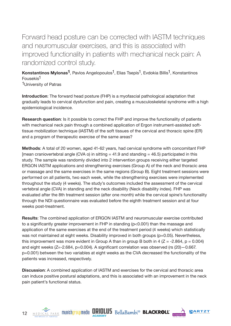<span id="page-12-0"></span>Forward head posture can be corrected with IASTM techniques and neuromuscular exercises, and this is associated with improved functionality in patients with mechanical neck pain: A randomized control study.

**Konstantinos Mylonas<sup>1</sup>**, Pavlos Angelopoulos<sup>1</sup>, Elias Tsepis<sup>1</sup>, Evdokia Billis<sup>1</sup>, Konstantinos Fousekis1

1University of Patras

**Introduction**: The forward head posture (FHP) is a myofascial pathological adaptation that gradually leads to cervical dysfunction and pain, creating a musculoskeletal syndrome with a high epidemiological incidence.

**Research question:** Is it possible to correct the FHP and improve the functionality of patients with mechanical neck pain through a combined application of Ergon instrument-assisted softtissue mobilization technique (IASTM) of the soft tissues of the cervical and thoracic spine (ER) and a program of therapeutic exercise of the same areas?

**Methods**: A total of 20 women, aged 41-62 years, had cervical syndrome with concomitant FHP [mean craniovertebral angle (CVA  $\circ$ ) in sitting = 41.9 and standing = 46.5) participated in this study. The sample was randomly divided into 2 intervention groups receiving either targeted ERGON IASTM applications and strengthening exercises (Group A) of the neck and thoracic area or massage and the same exercises in the same regions (Group B). Eight treatment sessions were performed on all patients, two each week, while the strengthening exercises were implemented throughout the study (4 weeks). The study's outcomes included the assessment of the cervical vertebral angle (CVA) in standing and the neck disability (Neck disability index). FHP was evaluated after the 8th treatment session (after one month) while the cervical spine's functionality through the NDI questionnaire was evaluated before the eighth treatment session and at four weeks post-treatment.

**Results**: The combined application of ERGON IASTM and neuromuscular exercise contributed to a significantly greater improvement in FHP in standing (p<0.001) than the massage and application of the same exercises at the end of the treatment period (4 weeks) which statistically was not maintained at eight weeks. Disability improved in both groups (p=0.05). Nevertheless, this improvement was more evident in Group A than in group B both in 4 ( $Z = -2.864$ ,  $p = 0.004$ ) and eight weeks (Z=-2.684, p=0.004). A significant correlation was observed (rs (20)—0.667. p=0.001) between the two variables at eight weeks as the CVA decreased the functionality of the patients was increased, respectively.

**Discussion**: A combined application of IASTM and exercises for the cervical and thoracic area can induce positive postural adaptations, and this is associated with an improvement in the neck pain patient's functional status.







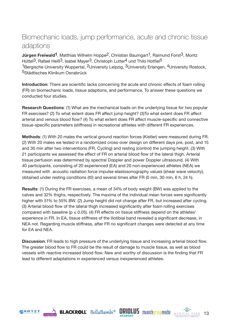## <span id="page-13-0"></span>Biomechanic loads, jump performance, acute and chronic tissue adaptions

**Jürgen Freiwald<sup>1</sup>**, Matthias Wilhelm Hoppe<sup>2</sup>, Christian Baumgart<sup>1</sup>, Raimund Forst<sup>3</sup>, Moritz Hüttel<sup>3</sup>, Rafael Heiß<sup>3</sup>, Isabel Mayer<sup>3</sup>, Christoph Lutter<sup>4</sup> und Thilo Hotfiel<sup>5</sup> 1Bergische University Wuppertal, <sup>2</sup>University Leipzig, <sup>3</sup>University Erlangen, <sup>4</sup>University Rostock, 5Städtisches Klinikum Osnabrück

**Introduction**: There are scientific lacks concerning the acute and chronic effects of foam rolling (FR) on biomechanic loads, tissue adaptions, and performance. To answer these questions we conducted four studies.

**Research Questions**: (1) What are the mechanical loads on the underlying tissue for two popular FR exercises? (2) To what extent does FR affect jump height? (3)To what extent does FR affect arterial and venous blood flow? (4) To what extent does FR affect muscle-specific and connective tissue-specific parameters (stiffness) in recreational athletes with different FR experiences.

**Methods**: (1) With 20 males the vertical ground reaction forces (Kistler) were measured during FR. (2) With 20 males we tested in a randomized cross-over design on different days pre, post, and 15 and 30 min after two interventions (FR, Cycling) and resting (control) the jumping height. (3) With 21 participants we assessed the effect of FR on arterial blood flow of the lateral thigh. Arterial tissue perfusion was determined by spectral Doppler and power Doppler ultrasound. (4) With 40 participants, consisting of 20 experienced (EA) and 20 non-experienced athletes (NEA) we measured with acoustic radiation force impulse elastosonography values (shear wave velocity), obtained under resting conditions (t0) and several times after FR (0 min, 30 min, 6 h, 24 h).

**Results**: (1) During the FR exercises, a mean of 34% of body weight (BW) was applied to the calves and 32% thighs, respectively. The maxima of the individual mean forces were significantly higher with 51% to 55% BW. (2) Jump height did not change after FR, but increased after cycling. (3) Arterial blood flow of the lateral thigh increased significantly after foam rolling exercises compared with baseline ( $p \le 0.05$ ). (4) FR effects on tissue stiffness depend on the athletes' experience in FR. In EA, tissue stiffness of the iliotibial band revealed a significant decrease, in NEA not. Regarding muscle stiffness, after FR no significant changes were detected at any time for EA and NEA.

**Discussion**: FR leads to high pressure of the underlying tissue and increasing arterial blood flow. The greater blood flow to FR could be the result of damage to muscle tissue, as well as blood vessels with reactive increased blood flow. New and worthy of discussion is the finding that FR lead to different adaptations in experienced versus inexperienced athletes.









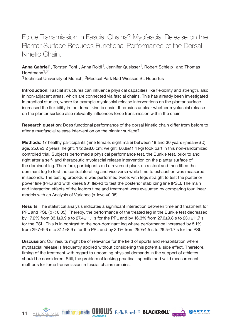# <span id="page-14-0"></span>Force Transmission in Fascial Chains? Myofascial Release on the Plantar Surface Reduces Functional Performance of the Dorsal Kinetic Chain.

Anna Gabriel<sup>1</sup>, Torsten Pohl<sup>1</sup>, Anna Roidl<sup>1</sup>, Jennifer Queisser<sup>1</sup>, Robert Schleip<sup>1</sup> and Thomas Horstmann1,2

1Technical University of Munich, 2Medical Park Bad Wiessee St. Hubertus

**Introduction**: Fascial structures can influence physical capacities like flexibility and strength, also in non-adjacent areas, which are connected via fascial chains. This has already been investigated in practical studies, where for example myofascial release interventions on the plantar surface increased the flexibility in the dorsal kinetic chain. It remains unclear whether myofascial release on the plantar surface also relevantly influences force transmission within the chain.

**Research question**: Does functional performance of the dorsal kinetic chain differ from before to after a myofascial release intervention on the plantar surface?

**Methods**: 17 healthy participants (nine female, eight male) between 18 and 30 years ((mean±SD) age, 25.0±3.2 years; height, 172.0±8.0 cm; weight, 66.8±11.4 kg) took part in this non-randomized controlled trial. Subjects performed a physical performance test, the Bunkie test, prior to and right after a self- and therapeutic myofascial release intervention on the plantar surface of the dominant leg. Therefore, participants did a reversed plank on a stool and then lifted the dominant leg to test the contralateral leg and vice versa while time to exhaustion was measured in seconds. The testing procedure was performed twice: with legs straight to test the posterior power line (PPL) and with knees 90° flexed to test the posterior stabilizing line (PSL). The main and interaction effects of the factors time and treatment were evaluated by comparing four linear models with an Analysis of Variance (α-level=0.05).

**Results**: The statistical analysis indicates a significant interaction between time and treatment for PPL and PSL (p < 0.05). Thereby, the performance of the treated leg in the Bunkie test decreased by 17.2% from 33.1±9.9 s to 27.4±11.1 s for the PPL and by 16.3% from 27.6±9.8 s to 23.1±11.7 s for the PSL. This is in contrast to the non-dominant leg where performance increased by 5.1% from 29.7 $\pm$ 9.6 s to 31.1 $\pm$ 8.9 s for the PPL and by 3.1% from 25.7 $\pm$ 1.5 s to 26.5 $\pm$ 1.7 s for the PSL.

**Discussion**: Our results might be of relevance for the field of sports and rehabilitation where myofascial release is frequently applied without considering this potential side effect. Therefore, timing of the treatment with regard to upcoming physical demands in the support of athletes should be considered. Still, the problem of lacking practical, specific and valid measurement methods for force transmission in fascial chains remains.







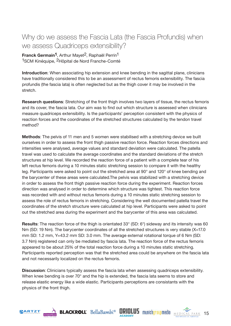## <span id="page-15-0"></span>Why do we assess the Fascia Lata (the Fascia Profundis) when we assess Quadriceps extensibility?

Franck Germain<sup>1</sup>, Arthur Mayet<sup>2</sup>, Raphaël Perrin<sup>1</sup> 1SCM Kinéquipe, 2Hôpital de Nord Franche-Comté

**Introduction**: When associating hip extension and knee bending in the sagittal plane, clinicians have traditionally considered this to be an assessment of rectus femoris extensibility. The fascia profundis (the fascia lata) is often neglected but as the thigh cover it may be involved in the stretch.

**Research questions**: Stretching of the front thigh involves two layers of tissue, the rectus femoris and its cover, the fascia lata. Our aim was to find out which structure is assessed when clinicians measure quadriceps extensibility. Is the participants' perception consistent with the physics of reaction forces and the coordinates of the stretched structures calculated by the tendon travel method?

**Methods**: The pelvis of 11 men and 5 women were stabilised with a stretching device we built ourselves in order to assess the front thigh passive reaction force. Reaction forces directions and intensities were analysed, average values and standard deviation were calculated. The patella travel was used to calculate the average coordinates and the standard deviations of the stretch structures at hip level. We recorded the reaction force of a patient with a complete tear of his left rectus femoris during a 10 minutes static stretching session to compare it with the healthy leg. Participants were asked to point out the stretched area at 90° and 120° of knee bending and the barycenter of these areas were calculated.The pelvis was stabilized with a stretching device in order to assess the front thigh passive reaction force during the experiment. Reaction forces direction was analysed in order to determine which structure was tightest. This reaction force was recorded with and without rectus femoris during a 10 minutes static stretching session to assess the role of rectus femoris in stretching. Considering the well documented patella travel the coordinates of the stretch structure were calculated at hip level. Participants were asked to point out the stretched area during the experiment and the barycenter of this area was calculated.

**Results**: The reaction force of the thigh is orientated 33° (SD: 6°) sideway and its intensity was 60 Nm (SD: 19 Nm). The barycenter coordinates of all the stretched structures is very stable (X=17.0 mm SD: 1.2 mm, Y=43.2 mm SD: 3.0 mm. The average external rotational torque of 6 Nm (SD: 3.7 Nm) registered can only be mediated by fascia lata. The reaction force of the rectus femoris appeared to be about 25% of the total reaction force during a 10 minutes static stretching. Participants reported perception was that the stretched area could be anywhere on the fascia lata and not necessarily localized on the rectus femoris.

**Discussion**: Clinicians typically assess the fascia lata when assessing quadriceps extensibility. When knee bending is over 70° and the hip is extended, the fascia lata seems to store and release elastic energy like a wide elastic. Participants perceptions are consistants with the physics of the front thigh.









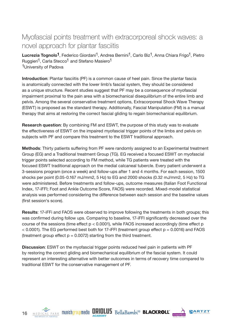## <span id="page-16-0"></span>Myofascial points treatment with extracorporeal shock waves: a novel approach for plantar fasciitis

Lucrezia Tognolo<sup>1</sup>, Federico Giordani<sup>1</sup>, Andrea Bernini<sup>1</sup>, Carlo Biz<sup>1</sup>, Anna Chiara Frigo<sup>1</sup>, Pietro Ruggieri<sup>1</sup>, Carla Stecco<sup>1</sup> and Stefano Masiero<sup>1</sup> 1University of Padova

**Introduction**: Plantar fasciitis (PF) is a common cause of heel pain. Since the plantar fascia is anatomically connected with the lower limb's fascial system, they should be considered as a unique structure. Recent studies suggest that PF may be a consequence of myofascial impairment proximal to the pain area with a biomechanical disequilibrium of the entire limb and pelvis. Among the several conservative treatment options, Extracorporeal Shock Wave Therapy (ESWT) is proposed as the standard therapy. Additionally, Fascial Manipulation (FM) is a manual therapy that aims at restoring the correct fascial gliding to regain biomechanical equilibrium.

**Research question**: By combining FM and ESWT, the purpose of this study was to evaluate the effectiveness of ESWT on the impaired myofascial trigger points of the limbs and pelvis on subjects with PF and compare this treatment to the ESWT traditional approach.

**Methods**: Thirty patients suffering from PF were randomly assigned to an Experimental treatment Group (EG) and a Traditional treatment Group (TG). EG received a focused ESWT on myofascial trigger points selected according to FM method, while TG patients were treated with the focused ESWT traditional approach on the medial calcaneal tubercle. Every patient underwent a 3-sessions program (once a week) and follow-ups after 1 and 4 months. For each session, 1500 shocks per point (0.05-0.167 mJ/mm2, 5 Hz) to EG and 2000 shocks (0.32 mJ/mm2, 5 Hz) to TG were administered. Before treatments and follow-ups, outcome measures (Italian Foot Functional Index, 17-iFFI; Foot and Ankle Outcome Score, FAOS) were recorded. Mixed-model statistical analysis was performed considering the difference between each session and the baseline values (first session's score).

**Results**: 17-iFFi and FAOS were observed to improve following the treatments in both groups; this was confirmed during follow ups. Comparing to baseline, 17-iFFI significantly decreased over the course of the sessions (time effect  $p < 0.0001$ ), while FAOS increased accordingly (time effect p  $<$  0.0001). The EG performed best both for 17-iFFI (treatment group effect  $p = 0.0016$ ) and FAOS (treatment group effect  $p = 0.0072$ ) starting from the third treatment.

**Discussion**: ESWT on the myofascial trigger points reduced heel pain in patients with PF by restoring the correct gliding and biomechanical equilibrium of the fascial system. It could represent an interesting alternative with better outcomes in terms of recovery time compared to traditional ESWT for the conservative management of PF.









16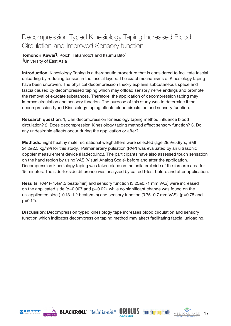# <span id="page-17-0"></span>Decompression Typed Kinesiology Taping Increased Blood Circulation and Improved Sensory function

**Tomonori Kawai<sup>1</sup>**, Koichi Takamoto1 and Itsumu Bito<sup>1</sup> 1 University of East Asia

**Introduction**: Kinesiology Taping is a therapeutic procedure that is considered to facilitate fascial unloading by reducing tension in the fascial layers. The exact mechanisms of Kinesiology taping have been unproven. The physical decompression theory explains subcutaneous space and fascia caused by decompressed taping which may offload sensory nerve endings and promote the removal of exudate substances. Therefore, the application of decompression taping may improve circulation and sensory function. The purpose of this study was to determine if the decompression typed Kinesiology taping affects blood circulation and sensory function.

**Research question**: 1, Can decompression Kinesiology taping method influence blood circulation? 2, Does decompression Kinesiology taping method affect sensory function? 3, Do any undesirable effects occur during the application or after?

**Methods**: Eight healthy male recreational weightlifters were selected (age 29.9±5.8yrs, BMI  $24.2\pm2.5$  kg/m<sup>2</sup>) for this study. Palmar artery pulsation (PAP) was evaluated by an ultrasonic doppler measurement device (Hadeco,Inc.). The participants have also assessed touch sensation on the hand region by using VAS (Visual Analog Scale) before and after the application. Decompression kinesiology taping was taken place on the unilateral side of the forearm area for 15 minutes. The side-to-side difference was analyzed by paired t-test before and after application.

**Results**: PAP (+4.4±1.5 beats/min) and sensory function (3.25±0.71 mm VAS) were increased on the applicated side ( $p=0.007$  and  $p=0.02$ ), while no significant change was found on the un-applicated side  $(+0.13\pm1.2$  beats/min) and sensory function  $(0.75\pm0.7$  mm VAS), (p=0.78 and p=0.12).

**Discussion**: Decompression typed kinesiology tape increases blood circulation and sensory function which indicates decompression taping method may affect facilitating fascial unloading.









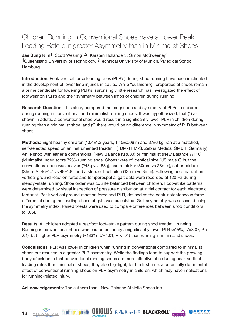# <span id="page-18-0"></span>Children Running in Conventional Shoes have a Lower Peak Loading Rate but greater Asymmetry than in Minimalist Shoes

**Jae Sung Kim<sup>1</sup>**, Scott Wearing<sup>1,2</sup>, Karsten Hollander3, Simon McSweeney<sup>1</sup> <sup>1</sup>Queensland University of Technology, <sup>2</sup>Technical University of Munich, <sup>3</sup>Medical School Hamburg

**Introduction**: Peak vertical force loading rates (PLR's) during shod running have been implicated in the development of lower limb injuries in adults. While "cushioning" properties of shoes remain a prime candidate for lowering PLR's, surprisingly little research has investigated the effect of footwear on PLR's and their symmetry between limbs of children during running.

**Research Question**: This study compared the magnitude and symmetry of PLRs in children during running in conventional and minimalist running shoes. It was hypothesized, that (1) as shown in adults, a conventional shoe would result in a significantly lower PLR in children during running than a minimalist shoe, and (2) there would be no difference in symmetry of PLR between shoes.

**Methods**: Eight healthy children (10.4±1.3 years, 1.45±0.06 m and 37±6 kg) ran at a matched, self-selected speed on an instrumented treadmill (FDM-THM-S, Zebris Medical GMbH, Germany) while shod with either a conventional (New Balance KR680) or minimalist (New Balance WT10) (Minimalist Index score 72%) running shoe. Shoes were of identical size (US male 6) but the conventional shoe was heavier (248g vs 168g), had a thicker (30mm vs 23mm), softer midsole (Shore A,  $46\pm1.7$  vs  $49\pm1.9$ ), and a steeper heel pitch (13mm vs 3mm). Following acclimatization, vertical ground reaction force and temporospatial gait data were recorded at 120 Hz during steady–state running. Shoe order was counterbalanced between children. Foot–strike patterns were determined by visual inspection of pressure distribution at initial contact for each electronic footprint. Peak vertical ground reaction force and PLR, defined as the peak instantaneous force differential during the loading phase of gait, was calculated. Gait asymmetry was assessed using the symmetry index. Paired t-tests were used to compare differences between shod conditions  $(α=.05)$ .

**Results**: All children adopted a rearfoot foot–strike pattern during shod treadmill running. Running in conventional shoes was characterised by a significantly lower PLR ( $\approx$ 15%, t7=3.07, P < .01), but higher PLR asymmetry  $\approx 183\%$ , t7=4.01, P < .01) than running in minimalist shoes.

**Conclusions**: PLR was lower in children when running in conventional compared to minimalist shoes but resulted in a greater PLR asymmetry. While the findings tend to support the growing body of evidence that conventional running shoes are more effective at reducing peak vertical loading rates than minimalist shoes, they also highlight, for the first time, a potentially detrimental effect of conventional running shoes on PLR asymmetry in children, which may have implications for running-related injury.

**Acknowledgements**: The authors thank New Balance Athletic Shoes Inc.





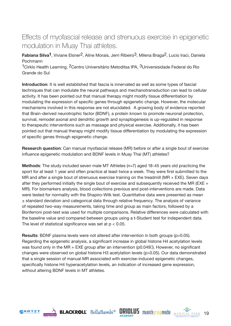## <span id="page-19-0"></span>Effects of myofascial release and strenuous exercise in epigenetic modulation in Muay Thai athletes.

**Fabiana Silva<sup>1</sup>**, Viviane Elsner<sup>2</sup>, Aline Morais, Jerri Ribeiro<sup>3</sup>, Milena Braga<sup>2</sup>, Lucio Iraci, Daniela Pochmann

<sup>1</sup>Cirklo Health Learning, <sup>2</sup>Centro Universitário Metoditsa IPA, <sup>3</sup>Universisidade Federal do Rio Grande do Sul

**Introduction**: It is well established that fascia is innervated as well as some types of fascial techniques that can modulate the neural pathways and mechanotransduction can lead to cellular activity. It has been pointed out that manual therapy might modify tissue differentiation by modulating the expression of specific genes through epigenetic change. However, the molecular mechanisms involved in this response are not elucidated. A growing body of evidence reported that Brain-derived neurotrophic factor (BDNF), a protein known to promote neuronal protection, survival, remodel axonal and dendritic growth and synaptogenesis is up-regulated in response to therapeutic interventions such as massage and physical exercise. Additionally, it has been pointed out that manual therapy might modify tissue differentiation by modulating the expression of specific genes through epigenetic change.

**Research question**: Can manual myofascial release (MR) before or after a single bout of exercise influence epigenetic modulation and BDNF levels in Muay Thai (MT) athletes?

**Methods:** The study included seven male MT Athletes (n=7) aged 18-45 years old practicing the sport for at least 1 year and often practice at least twice a week. They were first submitted to the MR and after a single bout of strenuous exercise training on the treadmill (MR + EXE). Seven days after they performed initially the single bout of exercise and subsequently received the MR (EXE  $+$ MR). For biomarkers analysis, blood collections previous and post-interventions are made. Data were tested for normality with the Shapiro-Wilk test. Quantitative data were presented as mean  $\pm$  standard deviation and categorical data through relative frequency. The analysis of variance of repeated two-way measurements, taking time and group as main factors, followed by a Bonferroni post-test was used for multiple comparisons. Relative differences were calculated with the baseline value and compared between groups using a t-Student test for independent data. The level of statistical significance was set at  $p < 0.05$ .

**Results**: BDNF plasma levels were not altered after intervention in both groups (p>0.05). Regarding the epigenetic analysis, a significant increase in global histone H4 acetylation levels was found only in the MR  $+$  EXE group after an intervention (p0.049 $II$ ). However, no significant changes were observed on global histone H3 acetylation levels (p>0.05). Our data demonstrated that a single session of manual MR associated with exercise-induced epigenetic changes, specifically histone H4 hyperacetylation levels, an indication of increased gene expression, without altering BDNF levels in MT athletes.









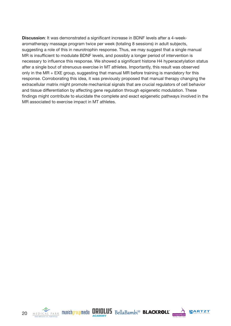**Discussion**: It was demonstrated a significant increase in BDNF levels after a 4-weekaromatherapy massage program twice per week (totaling 8 sessions) in adult subjects, suggesting a role of this in neurotrophin response. Thus, we may suggest that a single manual MR is insufficient to modulate BDNF levels, and possibly a longer period of intervention is necessary to influence this response. We showed a significant histone H4 hyperacetylation status after a single bout of strenuous exercise in MT athletes. Importantly, this result was observed only in the MR + EXE group, suggesting that manual MR before training is mandatory for this response. Corroborating this idea, it was previously proposed that manual therapy changing the extracellular matrix might promote mechanical signals that are crucial regulators of cell behavior and tissue differentiation by affecting gene regulation through epigenetic modulation. These findings might contribute to elucidate the complete and exact epigenetic pathways involved in the MR associated to exercise impact in MT athletes.







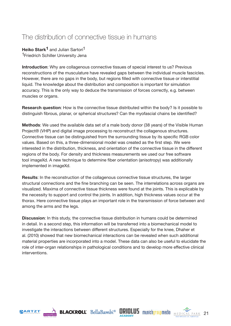## <span id="page-21-0"></span>The distribution of connective tissue in humans

**Heiko Stark<sup>1</sup>** and Julian Sartori<sup>1</sup> 1Friedrich Schiller University Jena

**Introduction**: Why are collagenous connective tissues of special interest to us? Previous reconstructions of the musculature have revealed gaps between the individual muscle fascicles. However, there are no gaps in the body, but regions filled with connective tissue or interstitial liquid. The knowledge about the distribution and composition is important for simulation accuracy. This is the only way to deduce the transmission of forces correctly, e.g. between muscles or organs.

**Research question**: How is the connective tissue distributed within the body? Is it possible to distinguish fibrous, planar, or spherical structures? Can the myofascial chains be identified?

**Methods**: We used the available data set of a male body donor (38 years) of the Visible Human Project® (VHP) and digital image processing to reconstruct the collagenous structures. Connective tissue can be distinguished from the surrounding tissue by its specific RGB color values. Based on this, a three-dimensional model was created as the first step. We were interested in the distribution, thickness, and orientation of the connective tissue in the different regions of the body. For density and thickness measurements we used our free software tool imageXd. A new technique to determine fiber orientation (anisotropy) was additionally implemented in imageXd.

**Results**: In the reconstruction of the collagenous connective tissue structures, the larger structural connections and the fine branching can be seen. The interrelations across organs are visualized. Maxima of connective tissue thickness were found at the joints. This is explicable by the necessity to support and control the joints. In addition, high thickness values occur at the thorax. Here connective tissue plays an important role in the transmission of force between and among the arms and the legs.

**Discussion:** In this study, the connective tissue distribution in humans could be determined in detail. In a second step, this information will be transferred into a biomechanical model to investigate the interactions between different structures. Especially for the knee, Dhaher et al. (2010) showed that new biomechanical interactions can be revealed when such additional material properties are incorporated into a model. These data can also be useful to elucidate the role of inter-organ relationships in pathological conditions and to develop more effective clinical interventions.









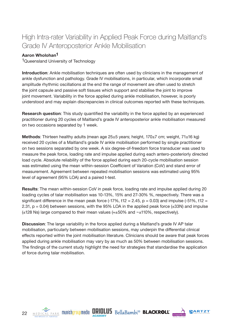# <span id="page-22-0"></span>High Intra-rater Variability in Applied Peak Force during Maitland's Grade IV Anteroposterior Ankle Mobilisation

#### **Aaron Wholohan1**

<sup>1</sup>Queensland University of Technology

**Introduction**: Ankle mobilisation techniques are often used by clinicians in the management of ankle dysfunction and pathology. Grade IV mobilisations, in particular, which incorporate small amplitude rhythmic oscillations at the end the range of movement are often used to stretch the joint capsule and passive soft tissues which support and stabilise the joint to improve joint movement. Variability in the force applied during ankle mobilisation, however, is poorly understood and may explain discrepancies in clinical outcomes reported with these techniques.

**Research question**: This study quantified the variability in the force applied by an experienced practitioner during 20 cycles of Maitland's grade IV anteroposterior ankle mobilisation measured on two occasions separated by 1 week.

**Methods**: Thirteen healthy adults (mean age 25±5 years; height, 170±7 cm; weight, 71±16 kg) received 20 cycles of a Maitland's grade IV ankle mobilisation performed by single practitioner on two sessions separated by one week. A six degree-of-freedom force transducer was used to measure the peak force, loading rate and impulse applied during each antero-posteriorly directed load cycle. Absolute reliability of the force applied during each 20-cycle mobilisation session was estimated using the mean within-session Coefficient of Variation (CoV) and stand error of measurement. Agreement between repeated mobilisation sessions was estimated using 95% level of agreement (95% LOA) and a paired t-test.

**Results**: The mean within-session CoV in peak force, loading rate and impulse applied during 20 loading cycles of talar mobilisation was 10-13%, 15% and 27-30% %, respectively. There was a significant difference in the mean peak force  $(-17\%, t12 = 2.45, p = 0.03)$  and impulse  $(-51\%, t12 =$ 2.31,  $p = 0.04$ ) between sessions, with the 95% LOA in the applied peak force ( $\pm$ 33N) and impulse  $(\pm 128 \text{ Ns})$  large compared to their mean values ( $\approx \pm 50\%$  and  $\sim \pm 110\%$ , respectively).

**Discussion**: The large variability in the force applied during a Maitland's grade IV AP talar mobilisation, particularly between mobilisation sessions, may underpin the differential clinical effects reported within the joint mobilisation literature. Clinicians should be aware that peak forces applied during ankle mobilisation may vary by as much as 50% between mobilisation sessions. The findings of the current study highlight the need for strategies that standardise the application of force during talar mobilisation.







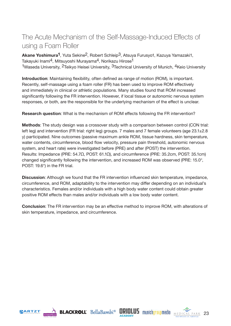# <span id="page-23-0"></span>The Acute Mechanism of the Self-Massage-Induced Effects of using a Foam Roller

**Akane Yoshimura1**, Yuta Sekine2, Robert Schleip3, Atsuya Furusyo1, Kazuya Yamazaki1, Takayuki Inami<sup>4</sup>, Mitsuyoshi Murayama<sup>4</sup>, Norikazu Hirose<sup>1</sup> <sup>1</sup>Waseda University, <sup>2</sup>Teikyo Heisei University, <sup>3</sup>Technical University of Munich, <sup>4</sup>Keio University

**Introduction**: Maintaining flexibility, often defined as range of motion (ROM), is important. Recently, self-massage using a foam roller (FR) has been used to improve ROM effectively and immediately in clinical or athletic populations. Many studies found that ROM increased significantly following the FR intervention. However, if local tissue or autonomic nervous system responses, or both, are the responsible for the underlying mechanism of the effect is unclear.

**Research question**: What is the mechanism of ROM effects following the FR intervention?

**Methods**: The study design was a crossover study with a comparison between control (CON trial: left leg) and intervention (FR trial: right leg) groups. 7 males and 7 female volunteers (age 23.1±2.8 y) participated. Nine outcomes (passive maximum ankle ROM, tissue hardness, skin temperature, water contents, circumference, blood flow velocity, pressure pain threshold, autonomic nervous system, and heart rate) were investigated before (PRE) and after (POST) the intervention. Results: Impedance (PRE: 54.7Ω, POST: 61.1Ω), and circumference (PRE: 35.2cm, POST: 35.1cm) changed significantly following the intervention, and increased ROM was observed (PRE: 15.0°, POST: 19.6°) in the FR trial.

**Discussion**: Although we found that the FR intervention influenced skin temperature, impedance, circumference, and ROM, adaptability to the intervention may differ depending on an individual's characteristics. Females and/or individuals with a high body water content could obtain greater positive ROM effects than males and/or individuals with a low body water content.

**Conclusion**: The FR intervention may be an effective method to improve ROM, with alterations of skin temperature, impedance, and circumference.









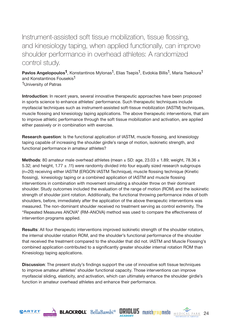<span id="page-24-0"></span>Instrument-assisted soft tissue mobilization, tissue flossing, and kinesiology taping, when applied functionally, can improve shoulder performance in overhead athletes: A randomized control study.

**Pavlos Angelopoulos<sup>1</sup>**, Konstantinos Mylonas<sup>1</sup>, Elias Tsepis<sup>1</sup>, Evdokia Billis<sup>1</sup>, Maria Tsekoura<sup>1</sup> and Konstantinos Fousekis<sup>1</sup>

1University of Patras

**Introduction**: In recent years, several innovative therapeutic approaches have been proposed in sports science to enhance athletes' performance. Such therapeutic techniques include myofascial techniques such as instrument-assisted soft-tissue mobilization (IASTM) techniques, muscle flossing and kinesiology taping applications. The above therapeutic interventions, that aim to improve athletic performance through the soft tissue mobilization and activation, are applied either passively or in combination with exercise.

**Research question**: Is the functional application of IASTM, muscle flossing, and kinesiology taping capable of increasing the shoulder girdle's range of motion, isokinetic strength, and functional performance in amateur athletes?

**Methods:** 80 amateur male overhead athletes (mean  $\pm$  SD: age, 23.03  $\pm$  1.89; weight, 78.36  $\pm$ 5.32; and height,  $1.77 \pm .11$ ) were randomly divided into four equally sized research subgroups (n=20) receiving either IASTM (ERGON IASTM Technique), muscle flossing technique (Kinetic flossing), kinesiology taping or a combined application of IASTM and muscle flossing interventions in combination with movement simulating a shoulder throw on their dominant shoulder. Study outcomes included the evaluation of the range of motion (ROM) and the isokinetic strength of shoulder joint rotation. Additionally, the functional throwing performance index of both shoulders, before, immediately after the application of the above therapeutic interventions was measured. The non-dominant shoulder received no treatment serving as control extremity. The "Repeated Measures ANOVA" (RM-ANOVA) method was used to compare the effectiveness of intervention programs applied.

**Results**: All four therapeutic interventions improved isokinetic strength of the shoulder rotators, the internal shoulder rotation ROM, and the shoulder's functional performance of the shoulder that received the treatment compared to the shoulder that did not. IASTM and Muscle Flossing's combined application contributed to a significantly greater shoulder internal rotation ROM than Kinesiology taping applications.

**Discussion:** The present study's findings support the use of innovative soft tissue techniques to improve amateur athletes' shoulder functional capacity. Those interventions can improve myofascial sliding, elasticity, and activation, which can ultimately enhance the shoulder girdle's function in amateur overhead athletes and enhance their performance.